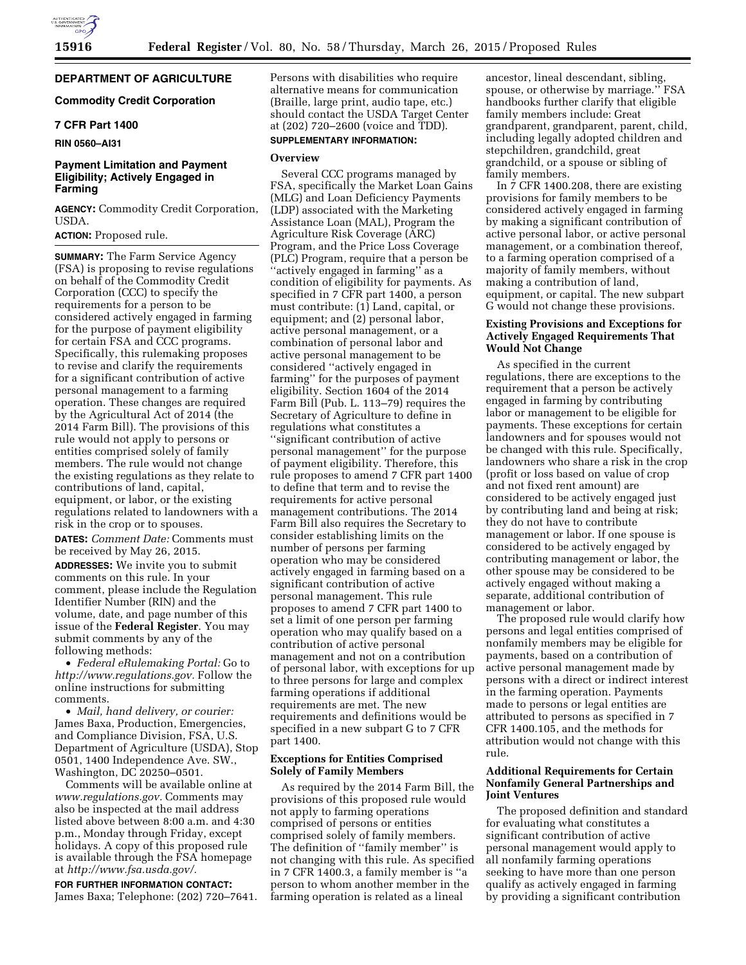# **DEPARTMENT OF AGRICULTURE**

# **Commodity Credit Corporation**

## **7 CFR Part 1400**

### **RIN 0560–AI31**

# **Payment Limitation and Payment Eligibility; Actively Engaged in Farming**

**AGENCY:** Commodity Credit Corporation, USDA.

# **ACTION:** Proposed rule.

**SUMMARY:** The Farm Service Agency (FSA) is proposing to revise regulations on behalf of the Commodity Credit Corporation (CCC) to specify the requirements for a person to be considered actively engaged in farming for the purpose of payment eligibility for certain FSA and CCC programs. Specifically, this rulemaking proposes to revise and clarify the requirements for a significant contribution of active personal management to a farming operation. These changes are required by the Agricultural Act of 2014 (the 2014 Farm Bill). The provisions of this rule would not apply to persons or entities comprised solely of family members. The rule would not change the existing regulations as they relate to contributions of land, capital, equipment, or labor, or the existing regulations related to landowners with a risk in the crop or to spouses.

**DATES:** *Comment Date:* Comments must be received by May 26, 2015.

**ADDRESSES:** We invite you to submit comments on this rule. In your comment, please include the Regulation Identifier Number (RIN) and the volume, date, and page number of this issue of the **Federal Register**. You may submit comments by any of the following methods:

• *Federal eRulemaking Portal:* Go to *[http://www.regulations.gov.](http://www.regulations.gov)* Follow the online instructions for submitting comments.

• *Mail, hand delivery, or courier:*  James Baxa, Production, Emergencies, and Compliance Division, FSA, U.S. Department of Agriculture (USDA), Stop 0501, 1400 Independence Ave. SW., Washington, DC 20250–0501.

Comments will be available online at *[www.regulations.gov.](http://www.regulations.gov)* Comments may also be inspected at the mail address listed above between 8:00 a.m. and 4:30 p.m., Monday through Friday, except holidays. A copy of this proposed rule is available through the FSA homepage at *[http://www.fsa.usda.gov/.](http://www.fsa.usda.gov/)* 

**FOR FURTHER INFORMATION CONTACT:**  James Baxa; Telephone: (202) 720–7641. Persons with disabilities who require alternative means for communication (Braille, large print, audio tape, etc.) should contact the USDA Target Center at (202) 720–2600 (voice and TDD).

# **SUPPLEMENTARY INFORMATION:**

# **Overview**

Several CCC programs managed by FSA, specifically the Market Loan Gains (MLG) and Loan Deficiency Payments (LDP) associated with the Marketing Assistance Loan (MAL), Program the Agriculture Risk Coverage (ARC) Program, and the Price Loss Coverage (PLC) Program, require that a person be ''actively engaged in farming'' as a condition of eligibility for payments. As specified in 7 CFR part 1400, a person must contribute: (1) Land, capital, or equipment; and (2) personal labor, active personal management, or a combination of personal labor and active personal management to be considered ''actively engaged in farming'' for the purposes of payment eligibility. Section 1604 of the 2014 Farm Bill (Pub. L. 113–79) requires the Secretary of Agriculture to define in regulations what constitutes a ''significant contribution of active personal management'' for the purpose of payment eligibility. Therefore, this rule proposes to amend 7 CFR part 1400 to define that term and to revise the requirements for active personal management contributions. The 2014 Farm Bill also requires the Secretary to consider establishing limits on the number of persons per farming operation who may be considered actively engaged in farming based on a significant contribution of active personal management. This rule proposes to amend 7 CFR part 1400 to set a limit of one person per farming operation who may qualify based on a contribution of active personal management and not on a contribution of personal labor, with exceptions for up to three persons for large and complex farming operations if additional requirements are met. The new requirements and definitions would be specified in a new subpart G to 7 CFR part 1400.

### **Exceptions for Entities Comprised Solely of Family Members**

As required by the 2014 Farm Bill, the provisions of this proposed rule would not apply to farming operations comprised of persons or entities comprised solely of family members. The definition of ''family member'' is not changing with this rule. As specified in 7 CFR 1400.3, a family member is ''a person to whom another member in the farming operation is related as a lineal

ancestor, lineal descendant, sibling, spouse, or otherwise by marriage.'' FSA handbooks further clarify that eligible family members include: Great grandparent, grandparent, parent, child, including legally adopted children and stepchildren, grandchild, great grandchild, or a spouse or sibling of family members.

In  $\overline{7}$  CFR 1400.208, there are existing provisions for family members to be considered actively engaged in farming by making a significant contribution of active personal labor, or active personal management, or a combination thereof, to a farming operation comprised of a majority of family members, without making a contribution of land, equipment, or capital. The new subpart G would not change these provisions.

### **Existing Provisions and Exceptions for Actively Engaged Requirements That Would Not Change**

As specified in the current regulations, there are exceptions to the requirement that a person be actively engaged in farming by contributing labor or management to be eligible for payments. These exceptions for certain landowners and for spouses would not be changed with this rule. Specifically, landowners who share a risk in the crop (profit or loss based on value of crop and not fixed rent amount) are considered to be actively engaged just by contributing land and being at risk; they do not have to contribute management or labor. If one spouse is considered to be actively engaged by contributing management or labor, the other spouse may be considered to be actively engaged without making a separate, additional contribution of management or labor.

The proposed rule would clarify how persons and legal entities comprised of nonfamily members may be eligible for payments, based on a contribution of active personal management made by persons with a direct or indirect interest in the farming operation. Payments made to persons or legal entities are attributed to persons as specified in 7 CFR 1400.105, and the methods for attribution would not change with this rule.

## **Additional Requirements for Certain Nonfamily General Partnerships and Joint Ventures**

The proposed definition and standard for evaluating what constitutes a significant contribution of active personal management would apply to all nonfamily farming operations seeking to have more than one person qualify as actively engaged in farming by providing a significant contribution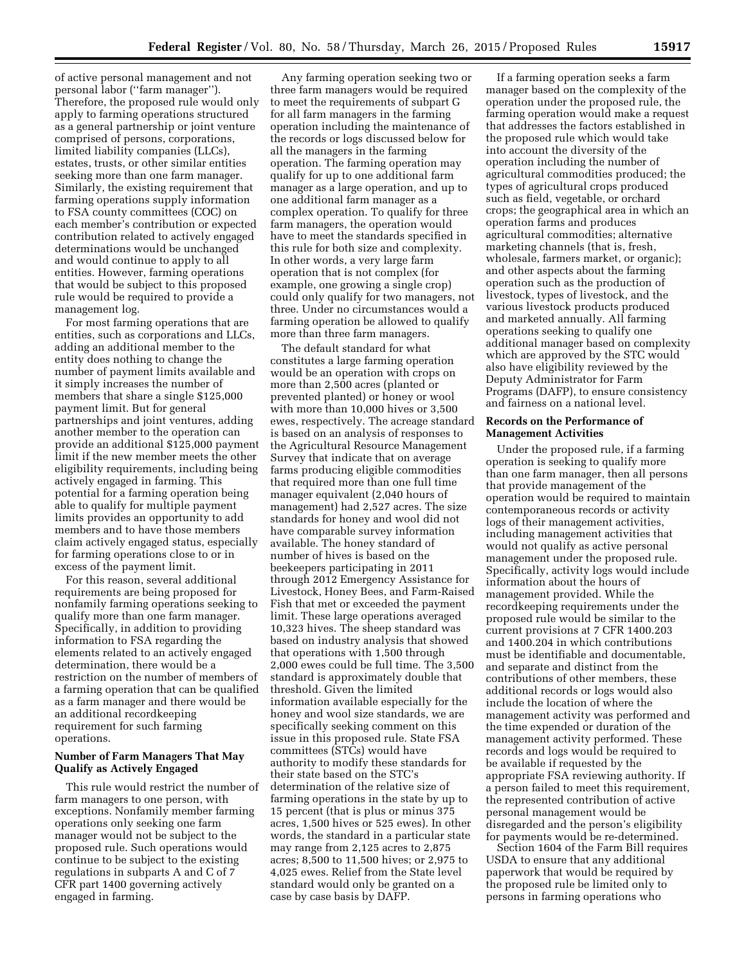of active personal management and not personal labor (''farm manager''). Therefore, the proposed rule would only apply to farming operations structured as a general partnership or joint venture comprised of persons, corporations, limited liability companies (LLCs), estates, trusts, or other similar entities seeking more than one farm manager. Similarly, the existing requirement that farming operations supply information to FSA county committees (COC) on each member's contribution or expected contribution related to actively engaged determinations would be unchanged and would continue to apply to all entities. However, farming operations that would be subject to this proposed rule would be required to provide a management log.

For most farming operations that are entities, such as corporations and LLCs, adding an additional member to the entity does nothing to change the number of payment limits available and it simply increases the number of members that share a single \$125,000 payment limit. But for general partnerships and joint ventures, adding another member to the operation can provide an additional \$125,000 payment limit if the new member meets the other eligibility requirements, including being actively engaged in farming. This potential for a farming operation being able to qualify for multiple payment limits provides an opportunity to add members and to have those members claim actively engaged status, especially for farming operations close to or in excess of the payment limit.

For this reason, several additional requirements are being proposed for nonfamily farming operations seeking to qualify more than one farm manager. Specifically, in addition to providing information to FSA regarding the elements related to an actively engaged determination, there would be a restriction on the number of members of a farming operation that can be qualified as a farm manager and there would be an additional recordkeeping requirement for such farming operations.

## **Number of Farm Managers That May Qualify as Actively Engaged**

This rule would restrict the number of farm managers to one person, with exceptions. Nonfamily member farming operations only seeking one farm manager would not be subject to the proposed rule. Such operations would continue to be subject to the existing regulations in subparts A and C of 7 CFR part 1400 governing actively engaged in farming.

Any farming operation seeking two or three farm managers would be required to meet the requirements of subpart G for all farm managers in the farming operation including the maintenance of the records or logs discussed below for all the managers in the farming operation. The farming operation may qualify for up to one additional farm manager as a large operation, and up to one additional farm manager as a complex operation. To qualify for three farm managers, the operation would have to meet the standards specified in this rule for both size and complexity. In other words, a very large farm operation that is not complex (for example, one growing a single crop) could only qualify for two managers, not three. Under no circumstances would a farming operation be allowed to qualify more than three farm managers.

The default standard for what constitutes a large farming operation would be an operation with crops on more than 2,500 acres (planted or prevented planted) or honey or wool with more than 10,000 hives or 3,500 ewes, respectively. The acreage standard is based on an analysis of responses to the Agricultural Resource Management Survey that indicate that on average farms producing eligible commodities that required more than one full time manager equivalent (2,040 hours of management) had 2,527 acres. The size standards for honey and wool did not have comparable survey information available. The honey standard of number of hives is based on the beekeepers participating in 2011 through 2012 Emergency Assistance for Livestock, Honey Bees, and Farm-Raised Fish that met or exceeded the payment limit. These large operations averaged 10,323 hives. The sheep standard was based on industry analysis that showed that operations with 1,500 through 2,000 ewes could be full time. The 3,500 standard is approximately double that threshold. Given the limited information available especially for the honey and wool size standards, we are specifically seeking comment on this issue in this proposed rule. State FSA committees (STCs) would have authority to modify these standards for their state based on the STC's determination of the relative size of farming operations in the state by up to 15 percent (that is plus or minus 375 acres, 1,500 hives or 525 ewes). In other words, the standard in a particular state may range from 2,125 acres to 2,875 acres; 8,500 to 11,500 hives; or 2,975 to 4,025 ewes. Relief from the State level standard would only be granted on a case by case basis by DAFP.

If a farming operation seeks a farm manager based on the complexity of the operation under the proposed rule, the farming operation would make a request that addresses the factors established in the proposed rule which would take into account the diversity of the operation including the number of agricultural commodities produced; the types of agricultural crops produced such as field, vegetable, or orchard crops; the geographical area in which an operation farms and produces agricultural commodities; alternative marketing channels (that is, fresh, wholesale, farmers market, or organic); and other aspects about the farming operation such as the production of livestock, types of livestock, and the various livestock products produced and marketed annually. All farming operations seeking to qualify one additional manager based on complexity which are approved by the STC would also have eligibility reviewed by the Deputy Administrator for Farm Programs (DAFP), to ensure consistency and fairness on a national level.

### **Records on the Performance of Management Activities**

Under the proposed rule, if a farming operation is seeking to qualify more than one farm manager, then all persons that provide management of the operation would be required to maintain contemporaneous records or activity logs of their management activities, including management activities that would not qualify as active personal management under the proposed rule. Specifically, activity logs would include information about the hours of management provided. While the recordkeeping requirements under the proposed rule would be similar to the current provisions at 7 CFR 1400.203 and 1400.204 in which contributions must be identifiable and documentable, and separate and distinct from the contributions of other members, these additional records or logs would also include the location of where the management activity was performed and the time expended or duration of the management activity performed. These records and logs would be required to be available if requested by the appropriate FSA reviewing authority. If a person failed to meet this requirement, the represented contribution of active personal management would be disregarded and the person's eligibility for payments would be re-determined.

Section 1604 of the Farm Bill requires USDA to ensure that any additional paperwork that would be required by the proposed rule be limited only to persons in farming operations who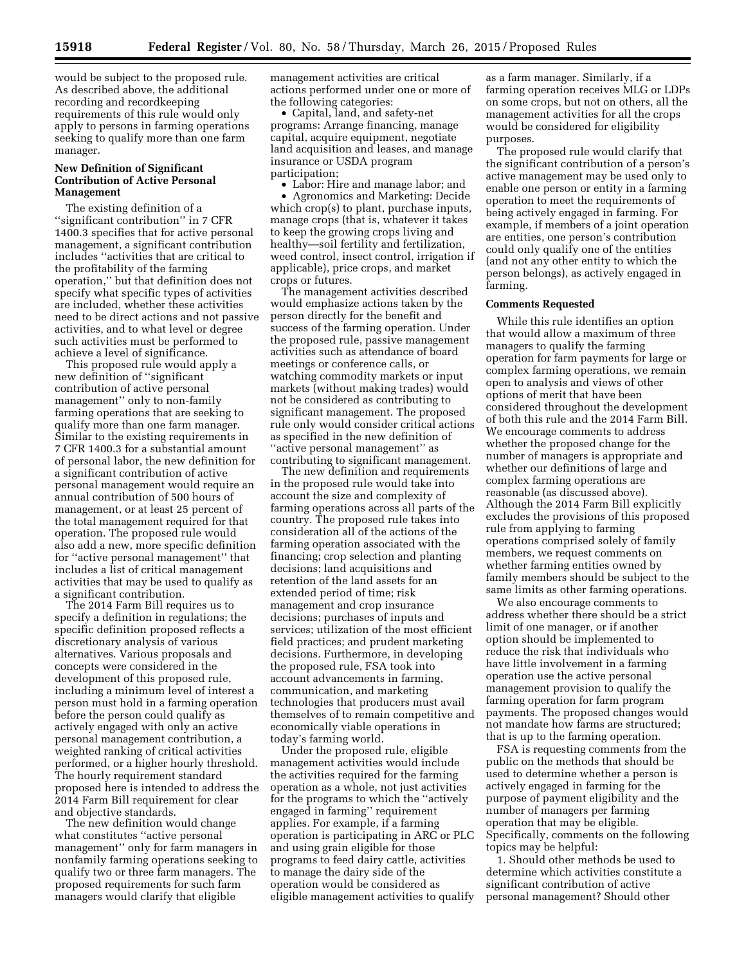would be subject to the proposed rule. As described above, the additional recording and recordkeeping requirements of this rule would only apply to persons in farming operations seeking to qualify more than one farm manager.

## **New Definition of Significant Contribution of Active Personal Management**

The existing definition of a ''significant contribution'' in 7 CFR 1400.3 specifies that for active personal management, a significant contribution includes ''activities that are critical to the profitability of the farming operation,'' but that definition does not specify what specific types of activities are included, whether these activities need to be direct actions and not passive activities, and to what level or degree such activities must be performed to achieve a level of significance.

This proposed rule would apply a new definition of ''significant contribution of active personal management'' only to non-family farming operations that are seeking to qualify more than one farm manager. Similar to the existing requirements in 7 CFR 1400.3 for a substantial amount of personal labor, the new definition for a significant contribution of active personal management would require an annual contribution of 500 hours of management, or at least 25 percent of the total management required for that operation. The proposed rule would also add a new, more specific definition for ''active personal management'' that includes a list of critical management activities that may be used to qualify as a significant contribution.

The 2014 Farm Bill requires us to specify a definition in regulations; the specific definition proposed reflects a discretionary analysis of various alternatives. Various proposals and concepts were considered in the development of this proposed rule, including a minimum level of interest a person must hold in a farming operation before the person could qualify as actively engaged with only an active personal management contribution, a weighted ranking of critical activities performed, or a higher hourly threshold. The hourly requirement standard proposed here is intended to address the 2014 Farm Bill requirement for clear and objective standards.

The new definition would change what constitutes ''active personal management'' only for farm managers in nonfamily farming operations seeking to qualify two or three farm managers. The proposed requirements for such farm managers would clarify that eligible

management activities are critical actions performed under one or more of the following categories:

• Capital, land, and safety-net programs: Arrange financing, manage capital, acquire equipment, negotiate land acquisition and leases, and manage insurance or USDA program participation;

• Labor: Hire and manage labor; and • Agronomics and Marketing: Decide which crop(s) to plant, purchase inputs, manage crops (that is, whatever it takes to keep the growing crops living and healthy—soil fertility and fertilization, weed control, insect control, irrigation if applicable), price crops, and market crops or futures.

The management activities described would emphasize actions taken by the person directly for the benefit and success of the farming operation. Under the proposed rule, passive management activities such as attendance of board meetings or conference calls, or watching commodity markets or input markets (without making trades) would not be considered as contributing to significant management. The proposed rule only would consider critical actions as specified in the new definition of ''active personal management'' as contributing to significant management.

The new definition and requirements in the proposed rule would take into account the size and complexity of farming operations across all parts of the country. The proposed rule takes into consideration all of the actions of the farming operation associated with the financing; crop selection and planting decisions; land acquisitions and retention of the land assets for an extended period of time; risk management and crop insurance decisions; purchases of inputs and services; utilization of the most efficient field practices; and prudent marketing decisions. Furthermore, in developing the proposed rule, FSA took into account advancements in farming, communication, and marketing technologies that producers must avail themselves of to remain competitive and economically viable operations in today's farming world.

Under the proposed rule, eligible management activities would include the activities required for the farming operation as a whole, not just activities for the programs to which the ''actively engaged in farming'' requirement applies. For example, if a farming operation is participating in ARC or PLC and using grain eligible for those programs to feed dairy cattle, activities to manage the dairy side of the operation would be considered as eligible management activities to qualify as a farm manager. Similarly, if a farming operation receives MLG or LDPs on some crops, but not on others, all the management activities for all the crops would be considered for eligibility purposes.

The proposed rule would clarify that the significant contribution of a person's active management may be used only to enable one person or entity in a farming operation to meet the requirements of being actively engaged in farming. For example, if members of a joint operation are entities, one person's contribution could only qualify one of the entities (and not any other entity to which the person belongs), as actively engaged in farming.

#### **Comments Requested**

While this rule identifies an option that would allow a maximum of three managers to qualify the farming operation for farm payments for large or complex farming operations, we remain open to analysis and views of other options of merit that have been considered throughout the development of both this rule and the 2014 Farm Bill. We encourage comments to address whether the proposed change for the number of managers is appropriate and whether our definitions of large and complex farming operations are reasonable (as discussed above). Although the 2014 Farm Bill explicitly excludes the provisions of this proposed rule from applying to farming operations comprised solely of family members, we request comments on whether farming entities owned by family members should be subject to the same limits as other farming operations.

We also encourage comments to address whether there should be a strict limit of one manager, or if another option should be implemented to reduce the risk that individuals who have little involvement in a farming operation use the active personal management provision to qualify the farming operation for farm program payments. The proposed changes would not mandate how farms are structured; that is up to the farming operation.

FSA is requesting comments from the public on the methods that should be used to determine whether a person is actively engaged in farming for the purpose of payment eligibility and the number of managers per farming operation that may be eligible. Specifically, comments on the following topics may be helpful:

1. Should other methods be used to determine which activities constitute a significant contribution of active personal management? Should other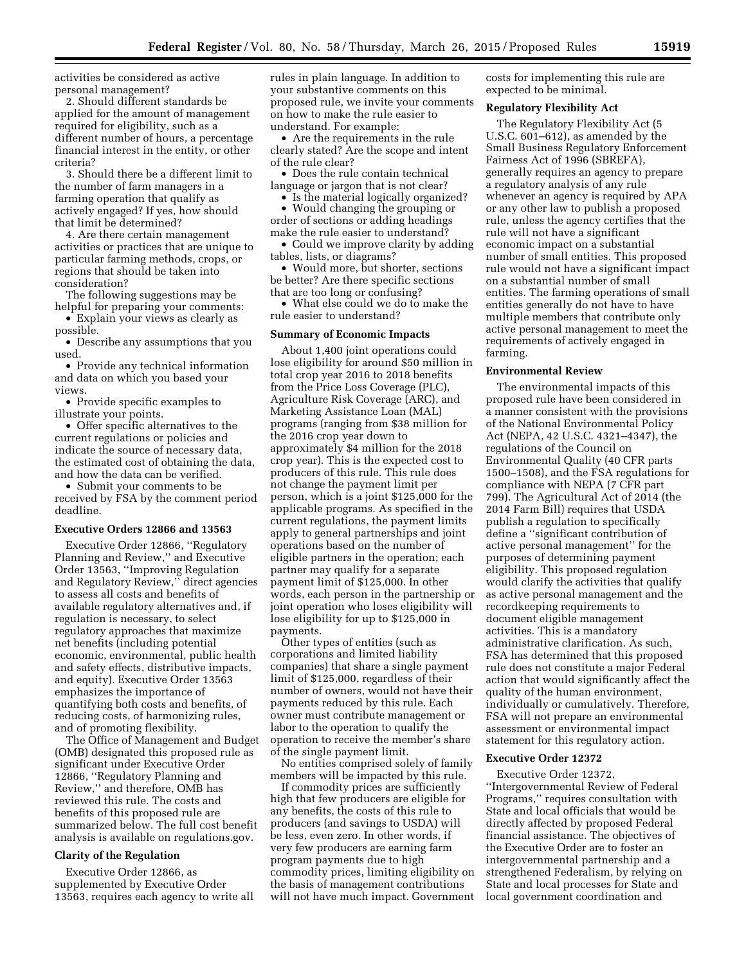activities be considered as active personal management?

2. Should different standards be applied for the amount of management required for eligibility, such as a different number of hours, a percentage financial interest in the entity, or other criteria?

3. Should there be a different limit to the number of farm managers in a farming operation that qualify as actively engaged? If yes, how should that limit be determined?

4. Are there certain management activities or practices that are unique to particular farming methods, crops, or regions that should be taken into consideration?

The following suggestions may be helpful for preparing your comments:

• Explain your views as clearly as possible.

• Describe any assumptions that you used.

• Provide any technical information and data on which you based your views.

• Provide specific examples to illustrate your points.

• Offer specific alternatives to the current regulations or policies and indicate the source of necessary data, the estimated cost of obtaining the data, and how the data can be verified.

• Submit your comments to be received by FSA by the comment period deadline.

#### **Executive Orders 12866 and 13563**

Executive Order 12866, ''Regulatory Planning and Review,'' and Executive Order 13563, ''Improving Regulation and Regulatory Review,'' direct agencies to assess all costs and benefits of available regulatory alternatives and, if regulation is necessary, to select regulatory approaches that maximize net benefits (including potential economic, environmental, public health and safety effects, distributive impacts, and equity). Executive Order 13563 emphasizes the importance of quantifying both costs and benefits, of reducing costs, of harmonizing rules, and of promoting flexibility.

The Office of Management and Budget (OMB) designated this proposed rule as significant under Executive Order 12866, ''Regulatory Planning and Review,'' and therefore, OMB has reviewed this rule. The costs and benefits of this proposed rule are summarized below. The full cost benefit analysis is available on regulations.gov.

### **Clarity of the Regulation**

Executive Order 12866, as supplemented by Executive Order 13563, requires each agency to write all rules in plain language. In addition to your substantive comments on this proposed rule, we invite your comments on how to make the rule easier to understand. For example:

• Are the requirements in the rule clearly stated? Are the scope and intent of the rule clear?

• Does the rule contain technical language or jargon that is not clear?

• Is the material logically organized?

• Would changing the grouping or order of sections or adding headings make the rule easier to understand?

• Could we improve clarity by adding tables, lists, or diagrams?

• Would more, but shorter, sections be better? Are there specific sections that are too long or confusing?

• What else could we do to make the rule easier to understand?

### **Summary of Economic Impacts**

About 1,400 joint operations could lose eligibility for around \$50 million in total crop year 2016 to 2018 benefits from the Price Loss Coverage (PLC), Agriculture Risk Coverage (ARC), and Marketing Assistance Loan (MAL) programs (ranging from \$38 million for the 2016 crop year down to approximately \$4 million for the 2018 crop year). This is the expected cost to producers of this rule. This rule does not change the payment limit per person, which is a joint \$125,000 for the applicable programs. As specified in the current regulations, the payment limits apply to general partnerships and joint operations based on the number of eligible partners in the operation; each partner may qualify for a separate payment limit of \$125,000. In other words, each person in the partnership or joint operation who loses eligibility will lose eligibility for up to \$125,000 in payments.

Other types of entities (such as corporations and limited liability companies) that share a single payment limit of \$125,000, regardless of their number of owners, would not have their payments reduced by this rule. Each owner must contribute management or labor to the operation to qualify the operation to receive the member's share of the single payment limit.

No entities comprised solely of family members will be impacted by this rule.

If commodity prices are sufficiently high that few producers are eligible for any benefits, the costs of this rule to producers (and savings to USDA) will be less, even zero. In other words, if very few producers are earning farm program payments due to high commodity prices, limiting eligibility on the basis of management contributions will not have much impact. Government costs for implementing this rule are expected to be minimal.

#### **Regulatory Flexibility Act**

The Regulatory Flexibility Act (5 U.S.C. 601–612), as amended by the Small Business Regulatory Enforcement Fairness Act of 1996 (SBREFA), generally requires an agency to prepare a regulatory analysis of any rule whenever an agency is required by APA or any other law to publish a proposed rule, unless the agency certifies that the rule will not have a significant economic impact on a substantial number of small entities. This proposed rule would not have a significant impact on a substantial number of small entities. The farming operations of small entities generally do not have to have multiple members that contribute only active personal management to meet the requirements of actively engaged in farming.

#### **Environmental Review**

The environmental impacts of this proposed rule have been considered in a manner consistent with the provisions of the National Environmental Policy Act (NEPA, 42 U.S.C. 4321–4347), the regulations of the Council on Environmental Quality (40 CFR parts 1500–1508), and the FSA regulations for compliance with NEPA (7 CFR part 799). The Agricultural Act of 2014 (the 2014 Farm Bill) requires that USDA publish a regulation to specifically define a ''significant contribution of active personal management'' for the purposes of determining payment eligibility. This proposed regulation would clarify the activities that qualify as active personal management and the recordkeeping requirements to document eligible management activities. This is a mandatory administrative clarification. As such, FSA has determined that this proposed rule does not constitute a major Federal action that would significantly affect the quality of the human environment, individually or cumulatively. Therefore, FSA will not prepare an environmental assessment or environmental impact statement for this regulatory action.

#### **Executive Order 12372**

Executive Order 12372, ''Intergovernmental Review of Federal Programs,'' requires consultation with State and local officials that would be directly affected by proposed Federal financial assistance. The objectives of the Executive Order are to foster an intergovernmental partnership and a strengthened Federalism, by relying on State and local processes for State and local government coordination and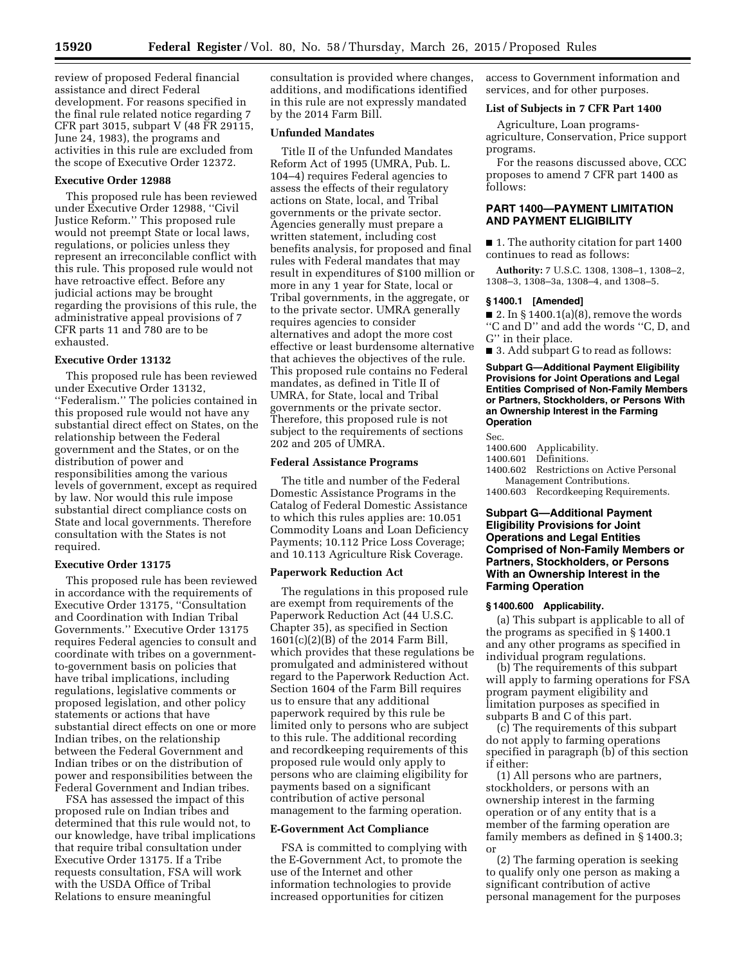review of proposed Federal financial assistance and direct Federal development. For reasons specified in the final rule related notice regarding 7 CFR part 3015, subpart V (48 FR 29115, June 24, 1983), the programs and activities in this rule are excluded from the scope of Executive Order 12372.

### **Executive Order 12988**

This proposed rule has been reviewed under Executive Order 12988, ''Civil Justice Reform.'' This proposed rule would not preempt State or local laws, regulations, or policies unless they represent an irreconcilable conflict with this rule. This proposed rule would not have retroactive effect. Before any judicial actions may be brought regarding the provisions of this rule, the administrative appeal provisions of 7 CFR parts 11 and 780 are to be exhausted.

## **Executive Order 13132**

This proposed rule has been reviewed under Executive Order 13132, ''Federalism.'' The policies contained in this proposed rule would not have any substantial direct effect on States, on the relationship between the Federal government and the States, or on the distribution of power and responsibilities among the various levels of government, except as required by law. Nor would this rule impose substantial direct compliance costs on State and local governments. Therefore consultation with the States is not required.

#### **Executive Order 13175**

This proposed rule has been reviewed in accordance with the requirements of Executive Order 13175, ''Consultation and Coordination with Indian Tribal Governments.'' Executive Order 13175 requires Federal agencies to consult and coordinate with tribes on a governmentto-government basis on policies that have tribal implications, including regulations, legislative comments or proposed legislation, and other policy statements or actions that have substantial direct effects on one or more Indian tribes, on the relationship between the Federal Government and Indian tribes or on the distribution of power and responsibilities between the Federal Government and Indian tribes.

FSA has assessed the impact of this proposed rule on Indian tribes and determined that this rule would not, to our knowledge, have tribal implications that require tribal consultation under Executive Order 13175. If a Tribe requests consultation, FSA will work with the USDA Office of Tribal Relations to ensure meaningful

consultation is provided where changes, additions, and modifications identified in this rule are not expressly mandated by the 2014 Farm Bill.

## **Unfunded Mandates**

Title II of the Unfunded Mandates Reform Act of 1995 (UMRA, Pub. L. 104–4) requires Federal agencies to assess the effects of their regulatory actions on State, local, and Tribal governments or the private sector. Agencies generally must prepare a written statement, including cost benefits analysis, for proposed and final rules with Federal mandates that may result in expenditures of \$100 million or more in any 1 year for State, local or Tribal governments, in the aggregate, or to the private sector. UMRA generally requires agencies to consider alternatives and adopt the more cost effective or least burdensome alternative that achieves the objectives of the rule. This proposed rule contains no Federal mandates, as defined in Title II of UMRA, for State, local and Tribal governments or the private sector. Therefore, this proposed rule is not subject to the requirements of sections 202 and 205 of UMRA.

### **Federal Assistance Programs**

The title and number of the Federal Domestic Assistance Programs in the Catalog of Federal Domestic Assistance to which this rules applies are: 10.051 Commodity Loans and Loan Deficiency Payments; 10.112 Price Loss Coverage; and 10.113 Agriculture Risk Coverage.

#### **Paperwork Reduction Act**

The regulations in this proposed rule are exempt from requirements of the Paperwork Reduction Act (44 U.S.C. Chapter 35), as specified in Section 1601(c)(2)(B) of the 2014 Farm Bill, which provides that these regulations be promulgated and administered without regard to the Paperwork Reduction Act. Section 1604 of the Farm Bill requires us to ensure that any additional paperwork required by this rule be limited only to persons who are subject to this rule. The additional recording and recordkeeping requirements of this proposed rule would only apply to persons who are claiming eligibility for payments based on a significant contribution of active personal management to the farming operation.

### **E-Government Act Compliance**

FSA is committed to complying with the E-Government Act, to promote the use of the Internet and other information technologies to provide increased opportunities for citizen

access to Government information and services, and for other purposes.

#### **List of Subjects in 7 CFR Part 1400**

Agriculture, Loan programsagriculture, Conservation, Price support programs.

For the reasons discussed above, CCC proposes to amend 7 CFR part 1400 as follows:

## **PART 1400—PAYMENT LIMITATION AND PAYMENT ELIGIBILITY**

■ 1. The authority citation for part 1400 continues to read as follows:

**Authority:** 7 U.S.C. 1308, 1308–1, 1308–2, 1308–3, 1308–3a, 1308–4, and 1308–5.

#### **§ 1400.1 [Amended]**

 $\blacksquare$  2. In § 1400.1(a)(8), remove the words ''C and D'' and add the words ''C, D, and G'' in their place.

■ 3. Add subpart G to read as follows:

**Subpart G—Additional Payment Eligibility Provisions for Joint Operations and Legal Entities Comprised of Non-Family Members or Partners, Stockholders, or Persons With an Ownership Interest in the Farming Operation** 

Sec. 1400.600 Applicability.

1400.601 Definitions.

1400.602 Restrictions on Active Personal Management Contributions.

1400.603 Recordkeeping Requirements.

## **Subpart G—Additional Payment Eligibility Provisions for Joint Operations and Legal Entities Comprised of Non-Family Members or Partners, Stockholders, or Persons With an Ownership Interest in the Farming Operation**

#### **§ 1400.600 Applicability.**

(a) This subpart is applicable to all of the programs as specified in § 1400.1 and any other programs as specified in individual program regulations.

(b) The requirements of this subpart will apply to farming operations for FSA program payment eligibility and limitation purposes as specified in subparts B and C of this part.

(c) The requirements of this subpart do not apply to farming operations specified in paragraph (b) of this section if either:

(1) All persons who are partners, stockholders, or persons with an ownership interest in the farming operation or of any entity that is a member of the farming operation are family members as defined in § 1400.3; or

(2) The farming operation is seeking to qualify only one person as making a significant contribution of active personal management for the purposes